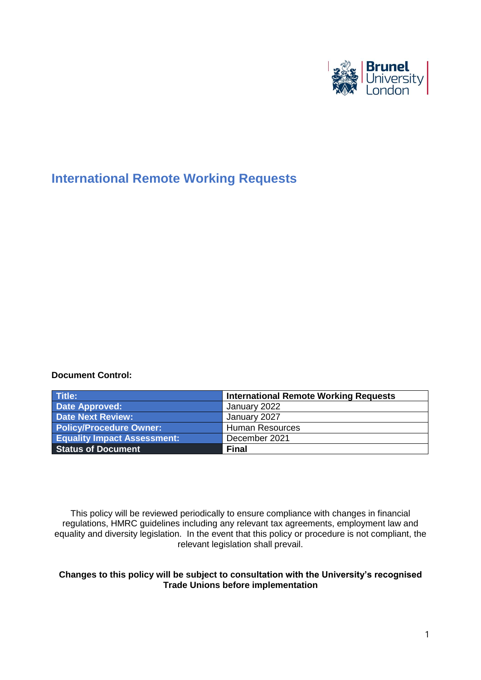

# **International Remote Working Requests**

#### **Document Control:**

| Title:                             | <b>International Remote Working Requests</b> |
|------------------------------------|----------------------------------------------|
| Date Approved:                     | January 2022                                 |
| <b>Date Next Review:</b>           | January 2027                                 |
| <b>Policy/Procedure Owner:</b>     | <b>Human Resources</b>                       |
| <b>Equality Impact Assessment:</b> | December 2021                                |
| <b>Status of Document</b>          | <b>Final</b>                                 |

This policy will be reviewed periodically to ensure compliance with changes in financial regulations, HMRC guidelines including any relevant tax agreements, employment law and equality and diversity legislation. In the event that this policy or procedure is not compliant, the relevant legislation shall prevail.

#### **Changes to this policy will be subject to consultation with the University's recognised Trade Unions before implementation**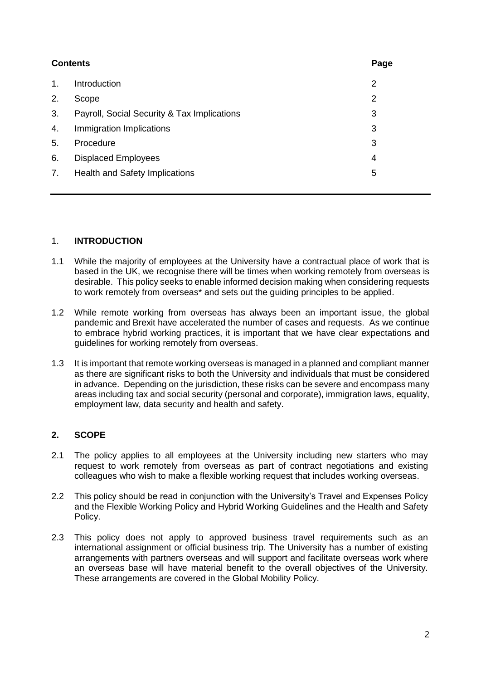| <b>Contents</b> |                                             | Page |
|-----------------|---------------------------------------------|------|
| 1.              | <b>Introduction</b>                         | 2    |
| 2.              | Scope                                       | 2    |
| 3.              | Payroll, Social Security & Tax Implications | 3    |
| 4.              | Immigration Implications                    | 3    |
| 5.              | Procedure                                   | 3    |
| 6.              | <b>Displaced Employees</b>                  | 4    |
| 7.              | Health and Safety Implications              | 5    |
|                 |                                             |      |

### 1. **INTRODUCTION**

- 1.1 While the majority of employees at the University have a contractual place of work that is based in the UK, we recognise there will be times when working remotely from overseas is desirable. This policy seeks to enable informed decision making when considering requests to work remotely from overseas\* and sets out the guiding principles to be applied.
- 1.2 While remote working from overseas has always been an important issue, the global pandemic and Brexit have accelerated the number of cases and requests. As we continue to embrace hybrid working practices, it is important that we have clear expectations and guidelines for working remotely from overseas.
- 1.3 It is important that remote working overseas is managed in a planned and compliant manner as there are significant risks to both the University and individuals that must be considered in advance. Depending on the jurisdiction, these risks can be severe and encompass many areas including tax and social security (personal and corporate), immigration laws, equality, employment law, data security and health and safety.

# **2. SCOPE**

- 2.1 The policy applies to all employees at the University including new starters who may request to work remotely from overseas as part of contract negotiations and existing colleagues who wish to make a flexible working request that includes working overseas.
- 2.2 This policy should be read in conjunction with the University's Travel and Expenses Policy and the Flexible Working Policy and Hybrid Working Guidelines and the Health and Safety Policy.
- 2.3 This policy does not apply to approved business travel requirements such as an international assignment or official business trip. The University has a number of existing arrangements with partners overseas and will support and facilitate overseas work where an overseas base will have material benefit to the overall objectives of the University. These arrangements are covered in the Global Mobility Policy.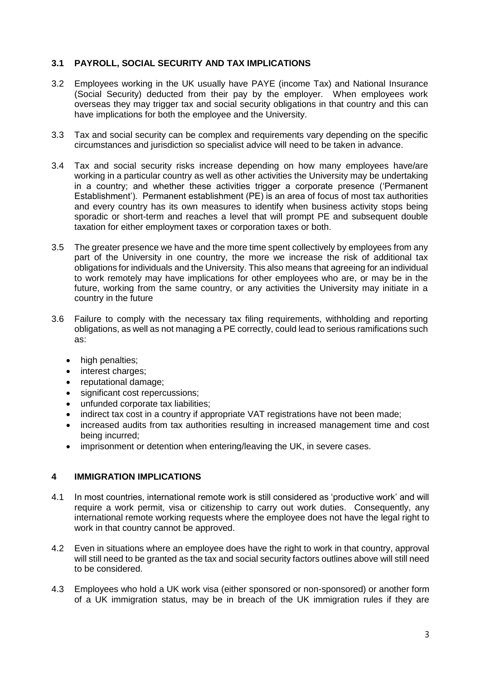## **3.1 PAYROLL, SOCIAL SECURITY AND TAX IMPLICATIONS**

- 3.2 Employees working in the UK usually have PAYE (income Tax) and National Insurance (Social Security) deducted from their pay by the employer. When employees work overseas they may trigger tax and social security obligations in that country and this can have implications for both the employee and the University.
- 3.3 Tax and social security can be complex and requirements vary depending on the specific circumstances and jurisdiction so specialist advice will need to be taken in advance.
- 3.4 Tax and social security risks increase depending on how many employees have/are working in a particular country as well as other activities the University may be undertaking in a country; and whether these activities trigger a corporate presence ('Permanent Establishment'). Permanent establishment (PE) is an area of focus of most tax authorities and every country has its own measures to identify when business activity stops being sporadic or short-term and reaches a level that will prompt PE and subsequent double taxation for either employment taxes or corporation taxes or both.
- 3.5 The greater presence we have and the more time spent collectively by employees from any part of the University in one country, the more we increase the risk of additional tax obligations for individuals and the University. This also means that agreeing for an individual to work remotely may have implications for other employees who are, or may be in the future, working from the same country, or any activities the University may initiate in a country in the future
- 3.6 Failure to comply with the necessary tax filing requirements, withholding and reporting obligations, as well as not managing a PE correctly, could lead to serious ramifications such as:
	- high penalties:
	- interest charges;
	- reputational damage;
	- significant cost repercussions;
	- unfunded corporate tax liabilities;
	- indirect tax cost in a country if appropriate VAT registrations have not been made;
	- increased audits from tax authorities resulting in increased management time and cost being incurred;
	- imprisonment or detention when entering/leaving the UK, in severe cases.

#### **4 IMMIGRATION IMPLICATIONS**

- 4.1 In most countries, international remote work is still considered as 'productive work' and will require a work permit, visa or citizenship to carry out work duties. Consequently, any international remote working requests where the employee does not have the legal right to work in that country cannot be approved.
- 4.2 Even in situations where an employee does have the right to work in that country, approval will still need to be granted as the tax and social security factors outlines above will still need to be considered.
- 4.3 Employees who hold a UK work visa (either sponsored or non-sponsored) or another form of a UK immigration status, may be in breach of the UK immigration rules if they are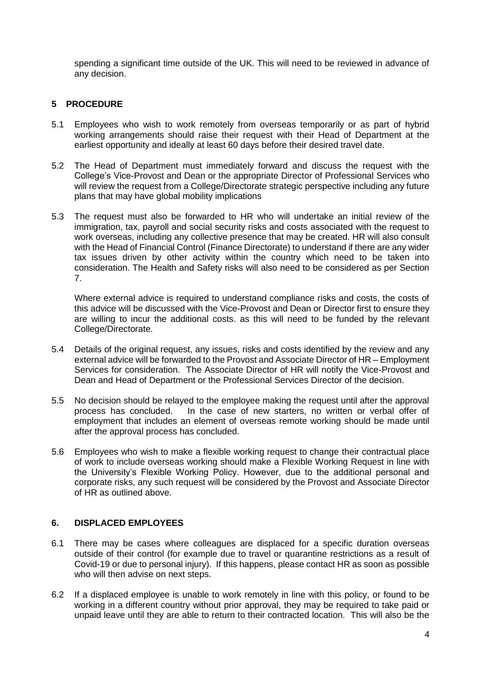spending a significant time outside of the UK. This will need to be reviewed in advance of any decision.

# **5 PROCEDURE**

- 5.1 Employees who wish to work remotely from overseas temporarily or as part of hybrid working arrangements should raise their request with their Head of Department at the earliest opportunity and ideally at least 60 days before their desired travel date.
- 5.2 The Head of Department must immediately forward and discuss the request with the College's Vice-Provost and Dean or the appropriate Director of Professional Services who will review the request from a College/Directorate strategic perspective including any future plans that may have global mobility implications
- 5.3 The request must also be forwarded to HR who will undertake an initial review of the immigration, tax, payroll and social security risks and costs associated with the request to work overseas, including any collective presence that may be created. HR will also consult with the Head of Financial Control (Finance Directorate) to understand if there are any wider tax issues driven by other activity within the country which need to be taken into consideration. The Health and Safety risks will also need to be considered as per Section 7.

Where external advice is required to understand compliance risks and costs, the costs of this advice will be discussed with the Vice-Provost and Dean or Director first to ensure they are willing to incur the additional costs. as this will need to be funded by the relevant College/Directorate.

- 5.4 Details of the original request, any issues, risks and costs identified by the review and any external advice will be forwarded to the Provost and Associate Director of HR – Employment Services for consideration. The Associate Director of HR will notify the Vice-Provost and Dean and Head of Department or the Professional Services Director of the decision.
- 5.5 No decision should be relayed to the employee making the request until after the approval process has concluded. In the case of new starters, no written or verbal offer of employment that includes an element of overseas remote working should be made until after the approval process has concluded.
- 5.6 Employees who wish to make a flexible working request to change their contractual place of work to include overseas working should make a Flexible Working Request in line with the University's Flexible Working Policy. However, due to the additional personal and corporate risks, any such request will be considered by the Provost and Associate Director of HR as outlined above.

#### **6. DISPLACED EMPLOYEES**

- 6.1 There may be cases where colleagues are displaced for a specific duration overseas outside of their control (for example due to travel or quarantine restrictions as a result of Covid-19 or due to personal injury). If this happens, please contact HR as soon as possible who will then advise on next steps.
- 6.2 If a displaced employee is unable to work remotely in line with this policy, or found to be working in a different country without prior approval, they may be required to take paid or unpaid leave until they are able to return to their contracted location. This will also be the